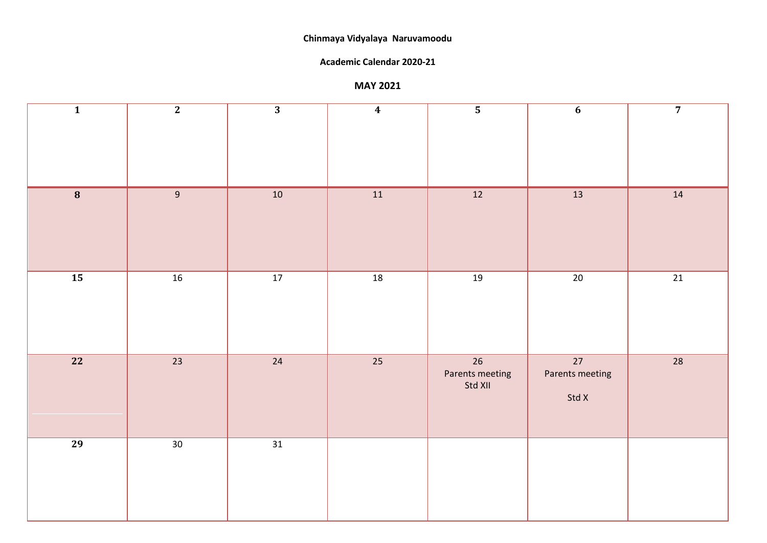#### **Chinmaya Vidyalaya Naruvamoodu**

#### **Academic Calendar 2020-21**

#### **MAY 2021**

| $\overline{\mathbf{1}}$ | $\overline{2}$  | $\overline{3}$  | $\boldsymbol{4}$ | $\overline{\mathbf{5}}$          | $\boldsymbol{6}$               | $\overline{7}$  |
|-------------------------|-----------------|-----------------|------------------|----------------------------------|--------------------------------|-----------------|
|                         |                 |                 |                  |                                  |                                |                 |
| $\overline{8}$          | 9               | $10\,$          | $\boxed{11}$     | 12                               | 13                             | $\boxed{14}$    |
| $\overline{15}$         | $\overline{16}$ | $\overline{17}$ | $\overline{18}$  | 19                               | $\overline{20}$                | $\overline{21}$ |
| $\boxed{22}$            | 23              | 24              | 25               | 26<br>Parents meeting<br>Std XII | 27<br>Parents meeting<br>Std X | 28              |
| $\overline{29}$         | 30 <sup>7</sup> | $\overline{31}$ |                  |                                  |                                |                 |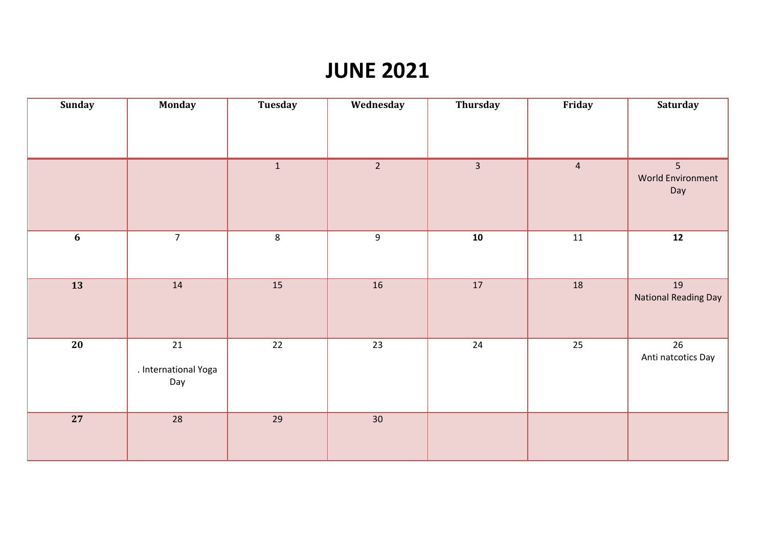## **JUNE 2021**

| Sunday           | <b>Monday</b>                         | Tuesday        | Wednesday        | Thursday                | Friday         | Saturday                          |
|------------------|---------------------------------------|----------------|------------------|-------------------------|----------------|-----------------------------------|
|                  |                                       |                |                  |                         |                |                                   |
|                  |                                       | $\mathbf{1}$   | $\overline{2}$   | $\overline{\mathbf{3}}$ | $\overline{4}$ | 5<br>World Environment<br>Day     |
| $\boldsymbol{6}$ | $\overline{7}$                        | $8\phantom{1}$ | $\boldsymbol{9}$ | ${\bf 10}$              | 11             | ${\bf 12}$                        |
| $\overline{13}$  | 14                                    | 15             | 16               | $17\,$                  | 18             | 19<br><b>National Reading Day</b> |
| $\overline{20}$  | $21\,$<br>. International Yoga<br>Day | $22$           | 23               | $24\,$                  | 25             | 26<br>Anti natcotics Day          |
| $\overline{27}$  | 28                                    | 29             | 30 <sup>°</sup>  |                         |                |                                   |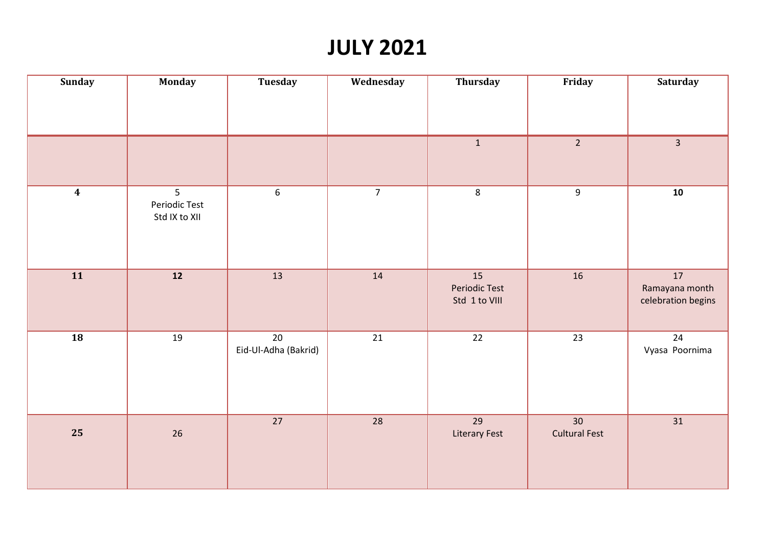# **JULY 2021**

| <b>Sunday</b>    | <b>Monday</b>                       | <b>Tuesday</b>                          | Wednesday       | Thursday                                    | Friday                     | <b>Saturday</b>                            |
|------------------|-------------------------------------|-----------------------------------------|-----------------|---------------------------------------------|----------------------------|--------------------------------------------|
|                  |                                     |                                         |                 |                                             |                            |                                            |
|                  |                                     |                                         |                 | $\mathbf{1}$                                | $\overline{2}$             | $\overline{\mathbf{3}}$                    |
| $\boldsymbol{4}$ | 5<br>Periodic Test<br>Std IX to XII | $6\phantom{.}6$                         | $\overline{7}$  | $8\phantom{1}$                              | $\boldsymbol{9}$           | 10                                         |
| 11               | 12                                  | 13                                      | 14              | 15<br><b>Periodic Test</b><br>Std 1 to VIII | 16                         | 17<br>Ramayana month<br>celebration begins |
| $\boxed{18}$     | 19                                  | $\overline{20}$<br>Eid-Ul-Adha (Bakrid) | $\overline{21}$ | $\overline{22}$                             | $\overline{23}$            | 24<br>Vyasa Poornima                       |
| 25               | 26                                  | 27                                      | 28              | $\overline{29}$<br><b>Literary Fest</b>     | 30<br><b>Cultural Fest</b> | 31                                         |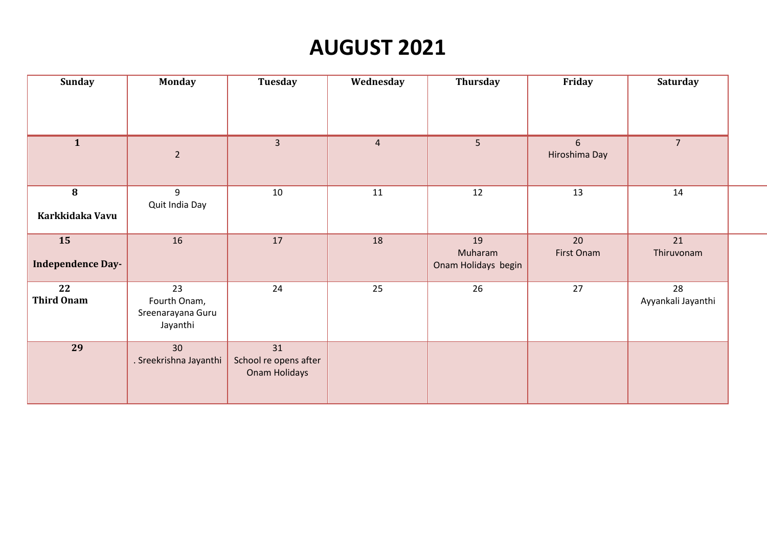# **AUGUST 2021**

| Sunday                         | <b>Monday</b>                                       | Tuesday                                      | Wednesday      | Thursday                             | Friday             | Saturday                 |  |
|--------------------------------|-----------------------------------------------------|----------------------------------------------|----------------|--------------------------------------|--------------------|--------------------------|--|
|                                |                                                     |                                              |                |                                      |                    |                          |  |
| 1                              | $\overline{2}$                                      | $\overline{3}$                               | $\overline{4}$ | 5 <sub>1</sub>                       | 6<br>Hiroshima Day | 7 <sup>1</sup>           |  |
| 8<br>Karkkidaka Vavu           | 9<br>Quit India Day                                 | $10\,$                                       | 11             | 12                                   | 13                 | 14                       |  |
| 15<br><b>Independence Day-</b> | 16                                                  | 17                                           | 18             | 19<br>Muharam<br>Onam Holidays begin | 20<br>First Onam   | 21<br>Thiruvonam         |  |
| 22<br><b>Third Onam</b>        | 23<br>Fourth Onam,<br>Sreenarayana Guru<br>Jayanthi | 24                                           | 25             | 26                                   | 27                 | 28<br>Ayyankali Jayanthi |  |
| 29                             | 30<br>. Sreekrishna Jayanthi                        | 31<br>School re opens after<br>Onam Holidays |                |                                      |                    |                          |  |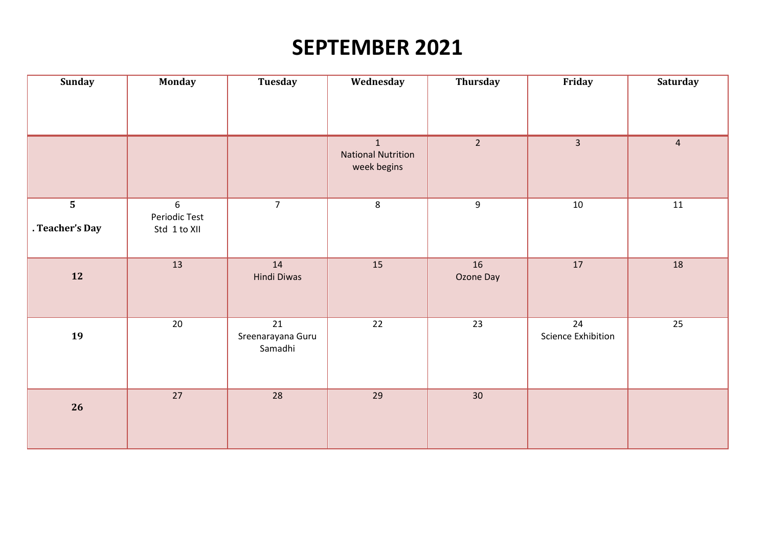# **SEPTEMBER 2021**

| Sunday                                     | <b>Monday</b>                      | <b>Tuesday</b>                     | Wednesday                                     | <b>Thursday</b> | Friday                          | <b>Saturday</b> |
|--------------------------------------------|------------------------------------|------------------------------------|-----------------------------------------------|-----------------|---------------------------------|-----------------|
|                                            |                                    |                                    |                                               |                 |                                 |                 |
|                                            |                                    |                                    | 1<br><b>National Nutrition</b><br>week begins | $\overline{2}$  | $\overline{\mathbf{3}}$         | $\overline{4}$  |
| $\overline{\mathbf{5}}$<br>. Teacher's Day | 6<br>Periodic Test<br>Std 1 to XII | $\overline{7}$                     | $8\phantom{1}$                                | $\overline{9}$  | $10\,$                          | 11              |
| 12                                         | 13                                 | 14<br>Hindi Diwas                  | 15                                            | 16<br>Ozone Day | 17                              | 18              |
| 19                                         | 20                                 | 21<br>Sreenarayana Guru<br>Samadhi | 22                                            | 23              | 24<br><b>Science Exhibition</b> | 25              |
| 26                                         | $\overline{27}$                    | 28                                 | 29                                            | 30 <sup>°</sup> |                                 |                 |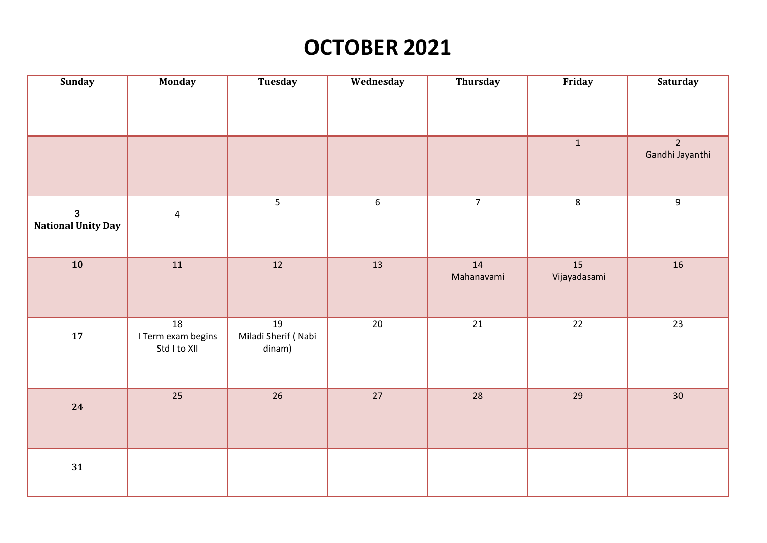# **OCTOBER 2021**

| <b>Sunday</b>                                        | <b>Monday</b>                            | Tuesday                             | Wednesday       | Thursday         | Friday             | <b>Saturday</b>                   |
|------------------------------------------------------|------------------------------------------|-------------------------------------|-----------------|------------------|--------------------|-----------------------------------|
|                                                      |                                          |                                     |                 |                  |                    |                                   |
|                                                      |                                          |                                     |                 |                  | $\mathbf{1}$       | $\overline{2}$<br>Gandhi Jayanthi |
| $\overline{\mathbf{3}}$<br><b>National Unity Day</b> | $\overline{\mathbf{4}}$                  | $\overline{5}$                      | $6\phantom{a}$  | $\overline{7}$   | $\,8\,$            | 9                                 |
| $\overline{10}$                                      | 11                                       | $\overline{12}$                     | $\overline{13}$ | 14<br>Mahanavami | 15<br>Vijayadasami | 16                                |
| ${\bf 17}$                                           | 18<br>I Term exam begins<br>Std I to XII | 19<br>Miladi Sherif (Nabi<br>dinam) | 20              | 21               | 22                 | 23                                |
| 24                                                   | $\overline{25}$                          | $\overline{26}$                     | $\overline{27}$ | $\overline{28}$  | $\overline{29}$    | $\overline{30}$                   |
| 31                                                   |                                          |                                     |                 |                  |                    |                                   |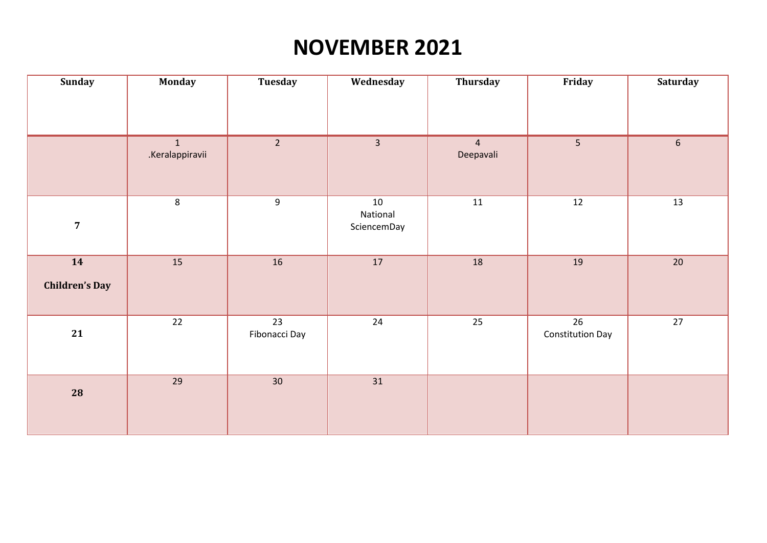# **NOVEMBER 2021**

| Sunday                      | <b>Monday</b>        | <b>Tuesday</b>                   | Wednesday                     | Thursday                    | Friday                                     | <b>Saturday</b> |
|-----------------------------|----------------------|----------------------------------|-------------------------------|-----------------------------|--------------------------------------------|-----------------|
|                             |                      |                                  |                               |                             |                                            |                 |
|                             | 1<br>.Keralappiravii | $\overline{2}$                   | $\overline{3}$                | $\overline{4}$<br>Deepavali | 5                                          | $6\phantom{.}6$ |
| $\overline{7}$              | 8                    | 9                                | 10<br>National<br>SciencemDay | 11                          | 12                                         | 13              |
| 14<br><b>Children's Day</b> | 15                   | 16                               | $\overline{17}$               | 18                          | 19                                         | $20\,$          |
| 21                          | $\overline{22}$      | $\overline{23}$<br>Fibonacci Day | $\overline{24}$               | $\overline{25}$             | $\overline{26}$<br><b>Constitution Day</b> | $\overline{27}$ |
| 28                          | 29                   | 30 <sup>°</sup>                  | 31                            |                             |                                            |                 |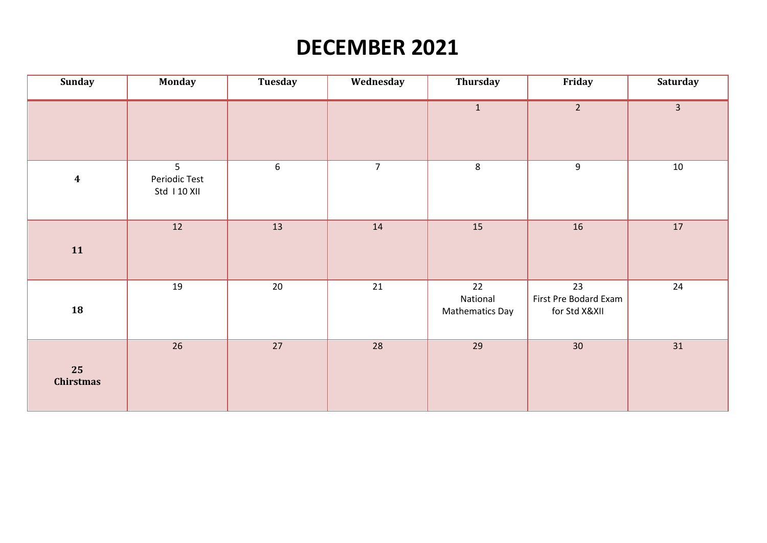# **DECEMBER 2021**

| <b>Sunday</b>          | <b>Monday</b>                                  | Tuesday          | Wednesday      | Thursday                          | Friday                                       | <b>Saturday</b> |
|------------------------|------------------------------------------------|------------------|----------------|-----------------------------------|----------------------------------------------|-----------------|
|                        |                                                |                  |                | $\mathbf{1}$                      | $\overline{2}$                               | $\overline{3}$  |
| $\boldsymbol{4}$       | 5 <sup>1</sup><br>Periodic Test<br>Std 110 XII | $\boldsymbol{6}$ | $\overline{7}$ | $8\phantom{1}$                    | 9                                            | 10              |
| 11                     | 12                                             | 13               | $14\,$         | 15                                | $16\,$                                       | 17              |
| 18                     | 19                                             | 20               | 21             | 22<br>National<br>Mathematics Day | 23<br>First Pre Bodard Exam<br>for Std X&XII | 24              |
| 25<br><b>Chirstmas</b> | 26                                             | 27               | 28             | 29                                | 30                                           | $31\,$          |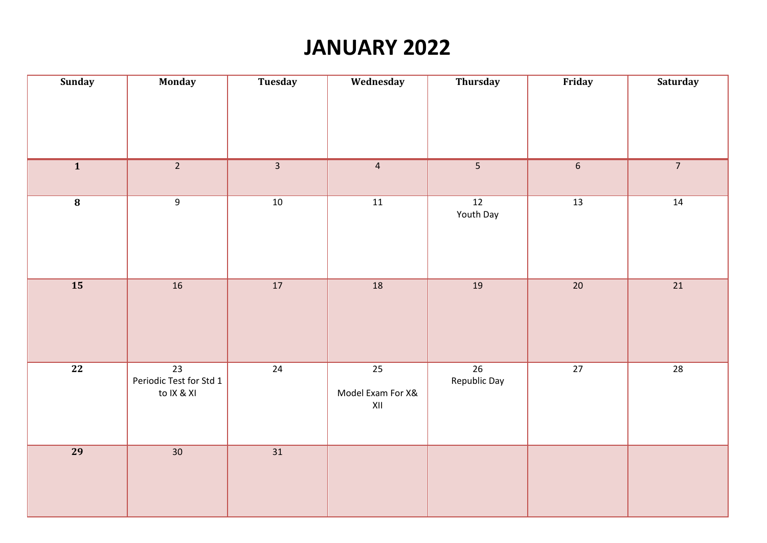# **JANUARY 2022**

| Sunday          | <b>Monday</b>                                            | Tuesday                 | Wednesday                                                                   | Thursday                        | Friday          | <b>Saturday</b> |
|-----------------|----------------------------------------------------------|-------------------------|-----------------------------------------------------------------------------|---------------------------------|-----------------|-----------------|
|                 |                                                          |                         |                                                                             |                                 |                 |                 |
|                 |                                                          |                         |                                                                             |                                 |                 |                 |
| $\overline{1}$  | $\overline{2}$                                           | $\overline{\mathbf{3}}$ | $\overline{4}$                                                              | 5                               | $\sqrt{6}$      | 7 <sup>7</sup>  |
| $\overline{8}$  | $\overline{9}$                                           | $10\,$                  | $\boxed{11}$                                                                | 12<br>Youth Day                 | $\frac{13}{13}$ | $14\,$          |
| $\overline{15}$ | $\overline{16}$                                          | $\overline{17}$         | $\overline{18}$                                                             | 19                              | $\overline{20}$ | $\overline{21}$ |
| $\overline{22}$ | $\overline{23}$<br>Periodic Test for Std 1<br>to IX & XI | $\overline{24}$         | $\overline{25}$<br>Model Exam For X&<br>$\pmb{\mathsf{X}}\pmb{\mathsf{II}}$ | $\overline{26}$<br>Republic Day | $\overline{27}$ | $\overline{28}$ |
| <b>29</b>       | $\overline{30}$                                          | $\overline{31}$         |                                                                             |                                 |                 |                 |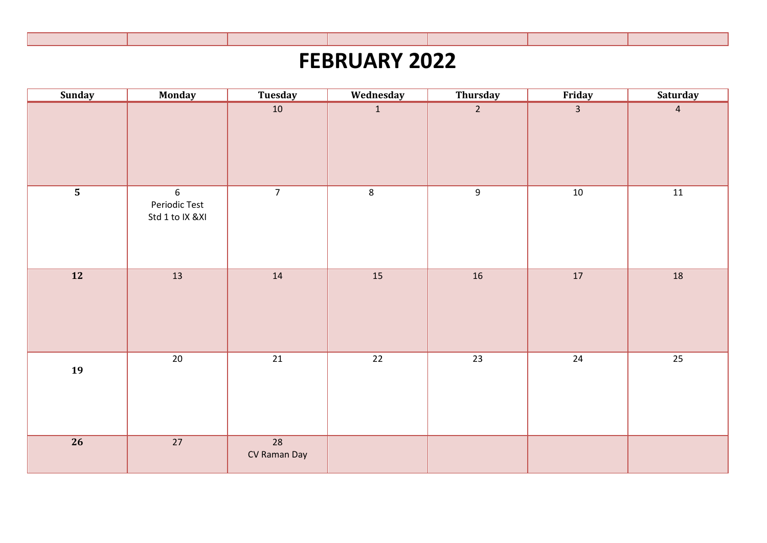# **FEBRUARY 2022**

| <b>Sunday</b>           | Monday                                | <b>Tuesday</b>                  | Wednesday       | Thursday        | Friday          | <b>Saturday</b> |
|-------------------------|---------------------------------------|---------------------------------|-----------------|-----------------|-----------------|-----------------|
|                         |                                       | $10\,$                          | 1               | $\overline{2}$  | $\overline{3}$  | $\overline{4}$  |
| $\overline{\mathbf{5}}$ | 6<br>Periodic Test<br>Std 1 to IX &XI | $\overline{7}$                  | $8\phantom{1}$  | $\overline{9}$  | $10\,$          | 11              |
| $\boxed{12}$            | 13                                    | 14                              | 15              | $16\,$          | 17              | 18              |
| 19                      | $\overline{20}$                       | $\overline{21}$                 | $\overline{22}$ | $\overline{23}$ | $\overline{24}$ | $\overline{25}$ |
| $\overline{26}$         | $\overline{27}$                       | $\overline{28}$<br>CV Raman Day |                 |                 |                 |                 |